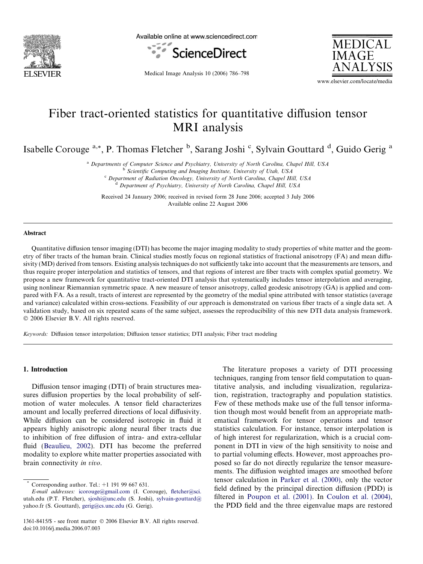

Available online at www.sciencedirect.com





Medical Image Analysis 10 (2006) 786–798

www.elsevier.com/locate/media

# Fiber tract-oriented statistics for quantitative diffusion tensor MRI analysis

Isabelle Corouge <sup>a,\*</sup>, P. Thomas Fletcher <sup>b</sup>, Sarang Joshi <sup>c</sup>, Sylvain Gouttard <sup>d</sup>, Guido Gerig <sup>a</sup>

<sup>a</sup> Departments of Computer Science and Psychiatry, University of North Carolina, Chapel Hill, USA

 $<sup>b</sup>$  Scientific Computing and Imaging Institute, University of Utah, USA</sup>

 $c$  Department of Radiation Oncology, University of North Carolina, Chapel Hill, USA

Department of Psychiatry, University of North Carolina, Chapel Hill, USA

Received 24 January 2006; received in revised form 28 June 2006; accepted 3 July 2006 Available online 22 August 2006

### Abstract

Quantitative diffusion tensor imaging (DTI) has become the major imaging modality to study properties of white matter and the geometry of fiber tracts of the human brain. Clinical studies mostly focus on regional statistics of fractional anisotropy (FA) and mean diffusivity (MD) derived from tensors. Existing analysis techniques do not sufficiently take into account that the measurements are tensors, and thus require proper interpolation and statistics of tensors, and that regions of interest are fiber tracts with complex spatial geometry. We propose a new framework for quantitative tract-oriented DTI analysis that systematically includes tensor interpolation and averaging, using nonlinear Riemannian symmetric space. A new measure of tensor anisotropy, called geodesic anisotropy (GA) is applied and compared with FA. As a result, tracts of interest are represented by the geometry of the medial spine attributed with tensor statistics (average and variance) calculated within cross-sections. Feasibility of our approach is demonstrated on various fiber tracts of a single data set. A validation study, based on six repeated scans of the same subject, assesses the reproducibility of this new DTI data analysis framework. © 2006 Elsevier B.V. All rights reserved.

Keywords: Diffusion tensor interpolation; Diffusion tensor statistics; DTI analysis; Fiber tract modeling

## 1. Introduction

Diffusion tensor imaging (DTI) of brain structures measures diffusion properties by the local probability of selfmotion of water molecules. A tensor field characterizes amount and locally preferred directions of local diffusivity. While diffusion can be considered isotropic in fluid it appears highly anisotropic along neural fiber tracts due to inhibition of free diffusion of intra- and extra-cellular fluid ([Beaulieu, 2002\)](#page-11-0). DTI has become the preferred modality to explore white matter properties associated with brain connectivity in vivo.

The literature proposes a variety of DTI processing techniques, ranging from tensor field computation to quantitative analysis, and including visualization, regularization, registration, tractography and population statistics. Few of these methods make use of the full tensor information though most would benefit from an appropriate mathematical framework for tensor operations and tensor statistics calculation. For instance, tensor interpolation is of high interest for regularization, which is a crucial component in DTI in view of the high sensitivity to noise and to partial voluming effects. However, most approaches proposed so far do not directly regularize the tensor measurements. The diffusion weighted images are smoothed before tensor calculation in [Parker et al. \(2000\),](#page-12-0) only the vector field defined by the principal direction diffusion (PDD) is filtered in [Poupon et al. \(2001\).](#page-12-0) In [Coulon et al. \(2004\)](#page-11-0), the PDD field and the three eigenvalue maps are restored

Corresponding author. Tel.:  $+1$  191 99 667 631.

E-mail addresses: [icorouge@gmail.com](mailto:icorouge@gmail.com) (I. Corouge), [fletcher@sci.](mailto:fletcher@sci. ) utah.edu (P.T. Fletcher), [sjoshi@unc.edu](mailto:sjoshi@unc.edu ) (S. Joshi), [sylvain-gouttard@](mailto:sylvain-gouttard@ ) yahoo.fr (S. Gouttard), [gerig@cs.unc.edu](mailto:gerig@cs.unc.edu ) (G. Gerig).

<sup>1361-8415/\$ -</sup> see front matter © 2006 Elsevier B.V. All rights reserved. doi:10.1016/j.media.2006.07.003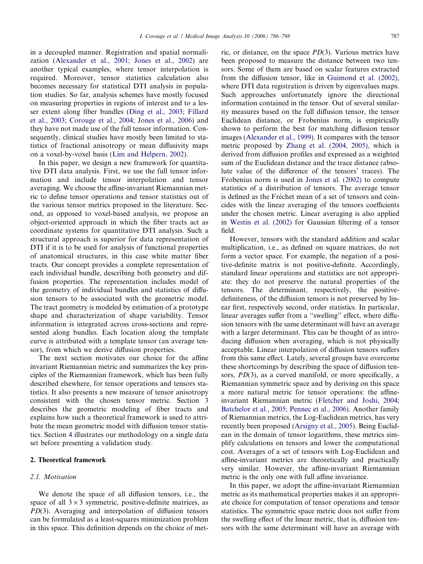<span id="page-1-0"></span>in a decoupled manner. Registration and spatial normalization [\(Alexander et al., 2001; Jones et al., 2002](#page-11-0)) are another typical examples, where tensor interpolation is required. Moreover, tensor statistics calculation also becomes necessary for statistical DTI analysis in population studies. So far, analysis schemes have mostly focused on measuring properties in regions of interest and to a lesser extent along fiber bundles ([Ding et al., 2003; Fillard](#page-12-0) [et al., 2003; Corouge et al., 2004; Jones et al., 2006](#page-12-0)) and they have not made use of the full tensor information. Consequently, clinical studies have mostly been limited to statistics of fractional anisotropy or mean diffusivity maps on a voxel-by-voxel basis [\(Lim and Helpern, 2002](#page-12-0)).

In this paper, we design a new framework for quantitative DTI data analysis. First, we use the full tensor information and include tensor interpolation and tensor averaging. We choose the affine-invariant Riemannian metric to define tensor operations and tensor statistics out of the various tensor metrics proposed in the literature. Second, as opposed to voxel-based analysis, we propose an object-oriented approach in which the fiber tracts act as coordinate systems for quantitative DTI analysis. Such a structural approach is superior for data representation of DTI if it is to be used for analysis of functional properties of anatomical structures, in this case white matter fiber tracts. Our concept provides a complete representation of each individual bundle, describing both geometry and diffusion properties. The representation includes model of the geometry of individual bundles and statistics of diffusion tensors to be associated with the geometric model. The tract geometry is modeled by estimation of a prototype shape and characterization of shape variability. Tensor information is integrated across cross-sections and represented along bundles. Each location along the template curve is attributed with a template tensor (an average tensor), from which we derive diffusion properties.

The next section motivates our choice for the affine invariant Riemannian metric and summarizes the key principles of the Riemannian framework, which has been fully described elsewhere, for tensor operations and tensors statistics. It also presents a new measure of tensor anisotropy consistent with the chosen tensor metric. Section [3](#page-3-0) describes the geometric modeling of fiber tracts and explains how such a theoretical framework is used to attribute the mean geometric model with diffusion tensor statistics. Section [4](#page-5-0) illustrates our methodology on a single data set before presenting a validation study.

# 2. Theoretical framework

## 2.1. Motivation

We denote the space of all diffusion tensors, i.e., the space of all  $3 \times 3$  symmetric, positive-definite matrices, as PD(3). Averaging and interpolation of diffusion tensors can be formulated as a least-squares minimization problem in this space. This definition depends on the choice of metric, or distance, on the space PD(3). Various metrics have been proposed to measure the distance between two tensors. Some of them are based on scalar features extracted from the diffusion tensor, like in [Guimond et al. \(2002\),](#page-12-0) where DTI data registration is driven by eigenvalues maps. Such approaches unfortunately ignore the directional information contained in the tensor. Out of several similarity measures based on the full diffusion tensor, the tensor Euclidean distance, or Frobenius norm, is empirically shown to perform the best for matching diffusion tensor images [\(Alexander et al., 1999](#page-11-0)). It compares with the tensor metric proposed by [Zhang et al. \(2004, 2005\)](#page-12-0), which is derived from diffusion profiles and expressed as a weighted sum of the Euclidean distance and the trace distance (absolute value of the difference of the tensors' traces). The Frobenius norm is used in [Jones et al. \(2002\)](#page-12-0) to compute statistics of a distribution of tensors. The average tensor is defined as the Fréchet mean of a set of tensors and coincides with the linear averaging of the tensors coefficients under the chosen metric. Linear averaging is also applied in [Westin et al. \(2002\)](#page-12-0) for Gaussian filtering of a tensor field.

However, tensors with the standard addition and scalar multiplication, i.e., as defined on square matrices, do not form a vector space. For example, the negation of a positive-definite matrix is not positive-definite. Accordingly, standard linear operations and statistics are not appropriate: they do not preserve the natural properties of the tensors. The determinant, respectively, the positivedefiniteness, of the diffusion tensors is not preserved by linear first, respectively second, order statistics. In particular, linear averages suffer from a ''swelling'' effect, where diffusion tensors with the same determinant will have an average with a larger determinant. This can be thought of as introducing diffusion when averaging, which is not physically acceptable. Linear interpolation of diffusion tensors suffers from this same effect. Lately, several groups have overcome these shortcomings by describing the space of diffusion tensors, PD(3), as a curved manifold, or more specifically, a Riemannian symmetric space and by deriving on this space a more natural metric for tensor operations: the affineinvariant Riemannian metric [\(Fletcher and Joshi, 2004;](#page-12-0) [Batchelor et al., 2005; Pennec et al., 2006\)](#page-12-0). Another family of Riemannian metrics, the Log-Euclidean metrics, has very recently been proposed [\(Arsigny et al., 2005\)](#page-11-0). Being Euclidean in the domain of tensor logarithms, these metrics simplify calculations on tensors and lower the computational cost. Averages of a set of tensors with Log-Euclidean and affine-invariant metrics are theoretically and practically very similar. However, the affine-invariant Riemannian metric is the only one with full affine invariance.

In this paper, we adopt the affine-invariant Riemannian metric as its mathematical properties makes it an appropriate choice for computation of tensor operations and tensor statistics. The symmetric space metric does not suffer from the swelling effect of the linear metric, that is, diffusion tensors with the same determinant will have an average with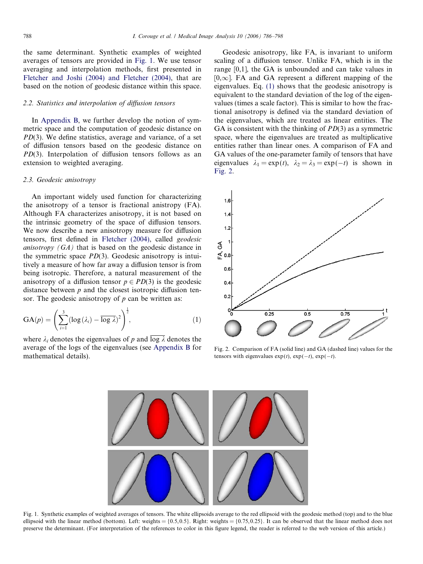<span id="page-2-0"></span>the same determinant. Synthetic examples of weighted averages of tensors are provided in Fig. 1. We use tensor averaging and interpolation methods, first presented in [Fletcher and Joshi \(2004\) and Fletcher \(2004\),](#page-12-0) that are based on the notion of geodesic distance within this space.

## 2.2. Statistics and interpolation of diffusion tensors

In Appendix B, we further develop the notion of symmetric space and the computation of geodesic distance on PD(3). We define statistics, average and variance, of a set of diffusion tensors based on the geodesic distance on PD(3). Interpolation of diffusion tensors follows as an extension to weighted averaging.

#### 2.3. Geodesic anisotropy

An important widely used function for characterizing the anisotropy of a tensor is fractional anistropy (FA). Although FA characterizes anisotropy, it is not based on the intrinsic geometry of the space of diffusion tensors. We now describe a new anisotropy measure for diffusion tensors, first defined in [Fletcher \(2004\),](#page-12-0) called geodesic *anisotropy*  $(GA)$  that is based on the geodesic distance in the symmetric space  $PD(3)$ . Geodesic anisotropy is intuitively a measure of how far away a diffusion tensor is from being isotropic. Therefore, a natural measurement of the anisotropy of a diffusion tensor  $p \in PD(3)$  is the geodesic distance between  $p$  and the closest isotropic diffusion tensor. The geodesic anisotropy of  $p$  can be written as:

$$
GA(p) = \left(\sum_{i=1}^{3} (\log(\lambda_i) - \overline{\log \lambda})^2\right)^{\frac{1}{2}},\tag{1}
$$

where  $\lambda_i$  denotes the eigenvalues of p and  $\overline{\log \lambda}$  denotes the average of the logs of the eigenvalues (see Appendix B for mathematical details).

Geodesic anisotropy, like FA, is invariant to uniform scaling of a diffusion tensor. Unlike FA, which is in the range [0,1], the GA is unbounded and can take values in  $[0,\infty]$ . FA and GA represent a different mapping of the eigenvalues. Eq. (1) shows that the geodesic anisotropy is equivalent to the standard deviation of the log of the eigenvalues (times a scale factor). This is similar to how the fractional anisotropy is defined via the standard deviation of the eigenvalues, which are treated as linear entities. The GA is consistent with the thinking of  $PD(3)$  as a symmetric space, where the eigenvalues are treated as multiplicative entities rather than linear ones. A comparison of FA and GA values of the one-parameter family of tensors that have eigenvalues  $\lambda_1 = \exp(t)$ ,  $\lambda_2 = \lambda_3 = \exp(-t)$  is shown in Fig. 2.



Fig. 2. Comparison of FA (solid line) and GA (dashed line) values for the tensors with eigenvalues  $exp(t)$ ,  $exp(-t)$ ,  $exp(-t)$ .



Fig. 1. Synthetic examples of weighted averages of tensors. The white ellipsoids average to the red ellipsoid with the geodesic method (top) and to the blue ellipsoid with the linear method (bottom). Left: weights = {0.5, 0.5}. Right: weights = {0.75, 0.25}. It can be observed that the linear method does not preserve the determinant. (For interpretation of the references to color in this figure legend, the reader is referred to the web version of this article.)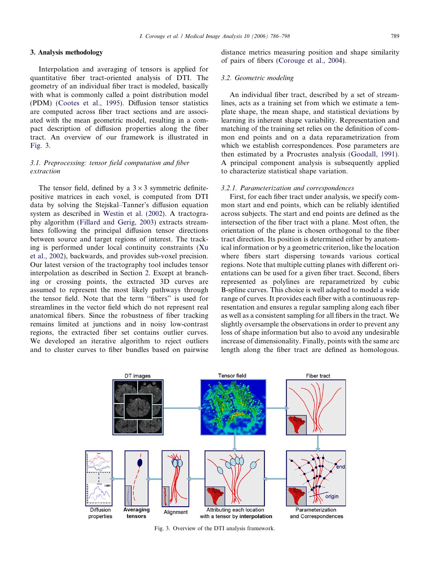# <span id="page-3-0"></span>3. Analysis methodology

Interpolation and averaging of tensors is applied for quantitative fiber tract-oriented analysis of DTI. The geometry of an individual fiber tract is modeled, basically with what is commonly called a point distribution model (PDM) [\(Cootes et al., 1995\)](#page-11-0). Diffusion tensor statistics are computed across fiber tract sections and are associated with the mean geometric model, resulting in a compact description of diffusion properties along the fiber tract. An overview of our framework is illustrated in Fig. 3.

# 3.1. Preprocessing: tensor field computation and fiber extraction

The tensor field, defined by a  $3 \times 3$  symmetric definitepositive matrices in each voxel, is computed from DTI data by solving the Stejskal–Tanner's diffusion equation system as described in [Westin et al. \(2002\)](#page-12-0). A tractography algorithm [\(Fillard and Gerig, 2003\)](#page-12-0) extracts streamlines following the principal diffusion tensor directions between source and target regions of interest. The tracking is performed under local continuity constraints [\(Xu](#page-12-0) [et al., 2002](#page-12-0)), backwards, and provides sub-voxel precision. Our latest version of the tractography tool includes tensor interpolation as described in Section [2](#page-1-0). Except at branching or crossing points, the extracted 3D curves are assumed to represent the most likely pathways through the tensor field. Note that the term ''fibers'' is used for streamlines in the vector field which do not represent real anatomical fibers. Since the robustness of fiber tracking remains limited at junctions and in noisy low-contrast regions, the extracted fiber set contains outlier curves. We developed an iterative algorithm to reject outliers and to cluster curves to fiber bundles based on pairwise distance metrics measuring position and shape similarity of pairs of fibers [\(Corouge et al., 2004](#page-11-0)).

### 3.2. Geometric modeling

An individual fiber tract, described by a set of streamlines, acts as a training set from which we estimate a template shape, the mean shape, and statistical deviations by learning its inherent shape variability. Representation and matching of the training set relies on the definition of common end points and on a data reparametrization from which we establish correspondences. Pose parameters are then estimated by a Procrustes analysis [\(Goodall, 1991\)](#page-12-0). A principal component analysis is subsequently applied to characterize statistical shape variation.

## 3.2.1. Parameterization and correspondences

First, for each fiber tract under analysis, we specify common start and end points, which can be reliably identified across subjects. The start and end points are defined as the intersection of the fiber tract with a plane. Most often, the orientation of the plane is chosen orthogonal to the fiber tract direction. Its position is determined either by anatomical information or by a geometric criterion, like the location where fibers start dispersing towards various cortical regions. Note that multiple cutting planes with different orientations can be used for a given fiber tract. Second, fibers represented as polylines are reparametrized by cubic B-spline curves. This choice is well adapted to model a wide range of curves. It provides each fiber with a continuous representation and ensures a regular sampling along each fiber as well as a consistent sampling for all fibers in the tract. We slightly oversample the observations in order to prevent any loss of shape information but also to avoid any undesirable increase of dimensionality. Finally, points with the same arc length along the fiber tract are defined as homologous.



Fig. 3. Overview of the DTI analysis framework.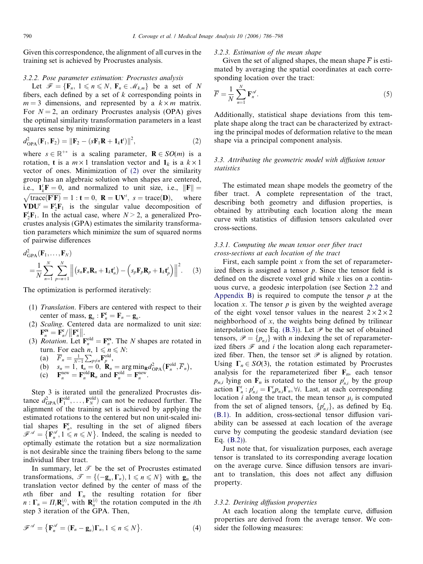<span id="page-4-0"></span>Given this correspondence, the alignment of all curves in the training set is achieved by Procrustes analysis.

## 3.2.2. Pose parameter estimation: Procrustes analysis

Let  $\mathscr{F} = {\mathbf{F}_n, 1 \leq n \leq N, \mathbf{F}_n \in \mathcal{M}_{k,m}}$  be a set of N fibers, each defined by a set of  $k$  corresponding points in  $m = 3$  dimensions, and represented by a  $k \times m$  matrix. For  $N = 2$ , an ordinary Procrustes analysis (OPA) gives the optimal similarity transformation parameters in a least squares sense by minimizing

$$
d_{\text{OPA}}^2(\mathbf{F}_1, \mathbf{F}_2) = ||\mathbf{F}_2 - (s\mathbf{F}_1\mathbf{R} + \mathbf{1}_k\mathbf{t}')||^2, \tag{2}
$$

where  $s \in \mathbb{R}^{+*}$  is a scaling parameter,  $\mathbf{R} \in SO(m)$  is a rotation, **t** is a  $m \times 1$  translation vector and  $\mathbf{1}_k$  is a  $k \times 1$ vector of ones. Minimization of (2) over the similarity group has an algebraic solution when shapes are centered, i.e.,  $\mathbf{1}_k' \mathbf{F} = 0$ , and normalized to unit size, i.e.,  $||\mathbf{F}|| =$ <br> $\frac{1}{2} \left( \frac{\mathbf{F}}{\mathbf{F}} \mathbf{F} \right) - \frac{1}{2} \left( \frac{\mathbf{F}}{\mathbf{F}} \mathbf{F} \right) - \frac{1}{2} \left( \frac{\mathbf{F}}{\mathbf{F}} \mathbf{F} \right) - \frac{1}{2} \left( \frac{\mathbf{F}}{\mathbf{F}} \mathbf{F} \right)$  $\sqrt{\text{trace}(\mathbf{F}'\mathbf{F})} = 1 : \mathbf{t} = 0, \ \mathbf{R} = \mathbf{U}\mathbf{V}', \ s = \text{trace}(\mathbf{D}), \ \text{where}$  $\mathbf{V} \mathbf{D} \mathbf{U}' = \mathbf{F}'_2 \mathbf{F}_1$  is the singular value decomposition of  $\mathbf{F}_2^t \mathbf{F}_1$ . In the actual case, where  $N > 2$ , a generalized Procrustes analysis (GPA) estimates the similarity transformation parameters which minimize the sum of squared norms of pairwise differences

$$
d_{\text{GPA}}^2(\mathbf{F}_1, \dots, \mathbf{F}_N)
$$
  
=  $\frac{1}{N} \sum_{n=1}^N \sum_{p=n+1}^N \left\| \left( s_n \mathbf{F}_n \mathbf{R}_n + \mathbf{1}_k \mathbf{t}_n' \right) - \left( s_p \mathbf{F}_p \mathbf{R}_p + \mathbf{1}_k \mathbf{t}_p' \right) \right\|^2$ . (3)

The optimization is performed iteratively:

- (1) Translation. Fibers are centered with respect to their center of mass,  $\mathbf{g}_n : \mathbf{F}_n^{\mathbf{c}} = \mathbf{F}_n - \mathbf{g}_n$ .
- (2) Scaling. Centered data are normalized to unit size:<br> $\frac{1}{100}$  $\mathbf{F}_n^{\mathbf{cs}} = \mathbf{F}_n^{\mathbf{c}} / ||\mathbf{F}_n^{\mathbf{c}}||.$
- (3) *Rotation*. Let  $\mathbf{F}_n^{\text{old}} = \mathbf{F}_n^{\text{ss}}$ . The *N* shapes are rotated in turn. For each  $n, 1 \leq n \leq N$ :

(a)  $\overline{F}_n = \frac{1}{N-1} \sum_{p \neq n} \mathbf{F}_p^{\text{old}},$ 

$$
\text{(b)} \quad s_n = 1, \quad \mathbf{t}_n = 0, \quad \mathbf{R}_n = \text{arg min}_{\mathbf{R}} d_{\text{OPA}}^2 \left( \mathbf{F}_n^{\text{old}}, \overline{F}_n \right),
$$

(c)  $\mathbf{F}_n^{\text{new}} = \mathbf{F}_n^{\text{old}} \mathbf{R}_n$  and  $\mathbf{F}_n^{\text{old}} = \mathbf{F}_n^{\text{new}}$ .

Step 3 is iterated until the generalized Procrustes distance  $d_{\text{GPA}}^2(\mathbf{F}_1^{\text{old}}, \dots, \mathbf{F}_N^{\text{old}})$  can not be reduced further. The alignment of the training set is achieved by applying the estimated rotations to the centered but non unit-scaled initial shapes  $\mathbf{F}_n^c$ , resulting in the set of aligned fibers  $\mathscr{F}^{\mathscr{A}} = {\mathbf{F}_n^{\mathscr{A}}, 1 \leq n \leq N}$ . Indeed, the scaling is needed to optimally estimate the rotation but a size normalization is not desirable since the training fibers belong to the same individual fiber tract.

In summary, let  $\mathcal T$  be the set of Procrustes estimated transformations,  $\mathcal{T} = \{(-\mathbf{g}_n, \Gamma_n), 1 \leq n \leq N\}$  with  $\mathbf{g}_n$  the translation vector defined by the center of mass of the *nth* fiber and  $\Gamma_n$  the resulting rotation for fiber  $n: \Gamma_n = \prod_i \mathbf{R}_n^{(i)}$ , with  $\mathbf{R}_n^{(i)}$  the rotation computed in the *i*th step 3 iteration of the GPA. Then,

$$
\mathscr{F}^{\mathscr{A}} = \{ \mathbf{F}_n^{\mathscr{A}} = (\mathbf{F}_n - \mathbf{g}_n) \mathbf{\Gamma}_n, 1 \leqslant n \leqslant N \}.
$$
 (4)

## 3.2.3. Estimation of the mean shape

Given the set of aligned shapes, the mean shape  $\overline{F}$  is estimated by averaging the spatial coordinates at each corresponding location over the tract:

$$
\overline{F} = \frac{1}{N} \sum_{n=1}^{N} \mathbf{F}_n^{\mathscr{A}}.
$$
 (5)

Additionally, statistical shape deviations from this template shape along the tract can be characterized by extracting the principal modes of deformation relative to the mean shape via a principal component analysis.

# 3.3. Attributing the geometric model with diffusion tensor statistics

The estimated mean shape models the geometry of the fiber tract. A complete representation of the tract, describing both geometry and diffusion properties, is obtained by attributing each location along the mean curve with statistics of diffusion tensors calculated over cross-sections.

# 3.3.1. Computing the mean tensor over fiber tract cross-sections at each location of the tract

First, each sample point  $x$  from the set of reparameterized fibers is assigned a tensor  $p$ . Since the tensor field is defined on the discrete voxel grid while  $x$  lies on a continuous curve, a geodesic interpolation (see Section [2.2](#page-2-0) and Appendix B) is required to compute the tensor  $p$  at the location  $x$ . The tensor  $p$  is given by the weighted average of the eight voxel tensor values in the nearest  $2 \times 2 \times 2$ neighborhood of x, the weights being defined by trilinear interpolation (see Eq.  $(B.3)$ ). Let  $\mathscr P$  be the set of obtained tensors,  $\mathcal{P} = \{p_{n,i}\}\$  with *n* indexing the set of reparameterized fibers  $\mathcal F$  and i the location along each reparameterized fiber. Then, the tensor set  $P$  is aligned by rotation. Using  $\Gamma_n \in SO(3)$ , the rotation estimated by Procrustes analysis for the reparameterized fiber  $F_n$ , each tensor  $p_{n,i}$  lying on  $\mathbf{F}_n$  is rotated to the tensor  $p'_{n,i}$  by the group action  $\Gamma_n^t: p'_{n,i} = \Gamma_n^t p_{n,i} \Gamma_n, \forall i$ . Last, at each corresponding location *i* along the tract, the mean tensor  $\mu_i$  is computed from the set of aligned tensors,  $\{p'_{n,i}\}\$ , as defined by Eq. [\(B.1\).](#page-11-0) In addition, cross-sectional tensor diffusion variability can be assessed at each location of the average curve by computing the geodesic standard deviation (see Eq. [\(B.2\)\)](#page-11-0).

Just note that, for visualization purposes, each average tensor is translated to its corresponding average location on the average curve. Since diffusion tensors are invariant to translation, this does not affect any diffusion property.

## 3.3.2. Deriving diffusion properties

At each location along the template curve, diffusion properties are derived from the average tensor. We consider the following measures: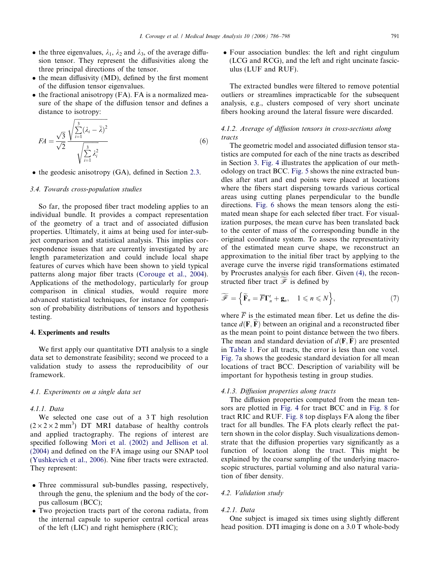- <span id="page-5-0"></span>• the three eigenvalues,  $\lambda_1$ ,  $\lambda_2$  and  $\lambda_3$ , of the average diffusion tensor. They represent the diffusivities along the three principal directions of the tensor.
- $\bullet$  the mean diffusivity (MD), defined by the first moment of the diffusion tensor eigenvalues.
- $\bullet$  the fractional anisotropy (FA). FA is a normalized measure of the shape of the diffusion tensor and defines a distance to isotropy:

$$
FA = \frac{\sqrt{3}}{\sqrt{2}} \frac{\sqrt{\sum_{i=1}^{3} (\lambda_i - \bar{\lambda})^2}}{\sqrt{\sum_{i=1}^{3} \lambda_i^2}}
$$
(6)

 $\bullet$  the geodesic anisotropy (GA), defined in Section [2.3.](#page-2-0)

## 3.4. Towards cross-population studies

So far, the proposed fiber tract modeling applies to an individual bundle. It provides a compact representation of the geometry of a tract and of associated diffusion properties. Ultimately, it aims at being used for inter-subject comparison and statistical analysis. This implies correspondence issues that are currently investigated by arc length parameterization and could include local shape features of curves which have been shown to yield typical patterns along major fiber tracts ([Corouge et al., 2004\)](#page-11-0). Applications of the methodology, particularly for group comparison in clinical studies, would require more advanced statistical techniques, for instance for comparison of probability distributions of tensors and hypothesis testing.

## 4. Experiments and results

We first apply our quantitative DTI analysis to a single data set to demonstrate feasibility; second we proceed to a validation study to assess the reproducibility of our framework.

## 4.1. Experiments on a single data set

# 4.1.1. Data

We selected one case out of a 3 T high resolution  $(2 \times 2 \times 2 \text{ mm}^3)$  DT MRI database of healthy controls and applied tractography. The regions of interest are specified following [Mori et al. \(2002\) and Jellison et al.](#page-12-0) [\(2004\)](#page-12-0) and defined on the FA image using our SNAP tool ([Yushkevich et al., 2006](#page-12-0)). Nine fiber tracts were extracted. They represent:

- Three commissural sub-bundles passing, respectively, through the genu, the splenium and the body of the corpus callosum (BCC);
- Two projection tracts part of the corona radiata, from the internal capsule to superior central cortical areas of the left (LIC) and right hemisphere (RIC);

 Four association bundles: the left and right cingulum (LCG and RCG), and the left and right uncinate fasciculus (LUF and RUF).

The extracted bundles were filtered to remove potential outliers or streamlines impracticable for the subsequent analysis, e.g., clusters composed of very short uncinate fibers hooking around the lateral fissure were discarded.

# 4.1.2. Average of diffusion tensors in cross-sections along tracts

The geometric model and associated diffusion tensor statistics are computed for each of the nine tracts as described in Section [3](#page-3-0). [Fig. 4](#page-6-0) illustrates the application of our methodology on tract BCC. [Fig. 5](#page-6-0) shows the nine extracted bundles after start and end points were placed at locations where the fibers start dispersing towards various cortical areas using cutting planes perpendicular to the bundle directions. [Fig. 6](#page-7-0) shows the mean tensors along the estimated mean shape for each selected fiber tract. For visualization purposes, the mean curve has been translated back to the center of mass of the corresponding bundle in the original coordinate system. To assess the representativity of the estimated mean curve shape, we reconstruct an approximation to the initial fiber tract by applying to the average curve the inverse rigid transformations estimated by Procrustes analysis for each fiber. Given [\(4\)](#page-4-0), the reconstructed fiber tract  $\widetilde{\mathcal{F}}$  is defined by

$$
\widetilde{\mathscr{F}} = \left\{ \widetilde{\mathbf{F}}_n = \overline{F} \mathbf{\Gamma}_n^t + \mathbf{g}_n, \quad 1 \leqslant n \leqslant N \right\},\tag{7}
$$

where  $\overline{F}$  is the estimated mean fiber. Let us define the distance  $d(\mathbf{F}, \tilde{\mathbf{F}})$  between an original and a reconstructed fiber as the mean point to point distance between the two fibers. The mean and standard deviation of  $d(\mathbf{F}, \mathbf{F})$  are presented in [Table 1.](#page-7-0) For all tracts, the error is less than one voxel. [Fig. 7](#page-7-0)a shows the geodesic standard deviation for all mean locations of tract BCC. Description of variability will be important for hypothesis testing in group studies.

## 4.1.3. Diffusion properties along tracts

The diffusion properties computed from the mean tensors are plotted in [Fig. 4](#page-6-0) for tract BCC and in [Fig. 8](#page-8-0) for tract RIC and RUF. [Fig. 8](#page-8-0) top displays FA along the fiber tract for all bundles. The FA plots clearly reflect the pattern shown in the color display. Such visualizations demonstrate that the diffusion properties vary significantly as a function of location along the tract. This might be explained by the coarse sampling of the underlying macroscopic structures, partial voluming and also natural variation of fiber density.

## 4.2. Validation study

#### 4.2.1. Data

One subject is imaged six times using slightly different head position. DTI imaging is done on a 3.0 T whole-body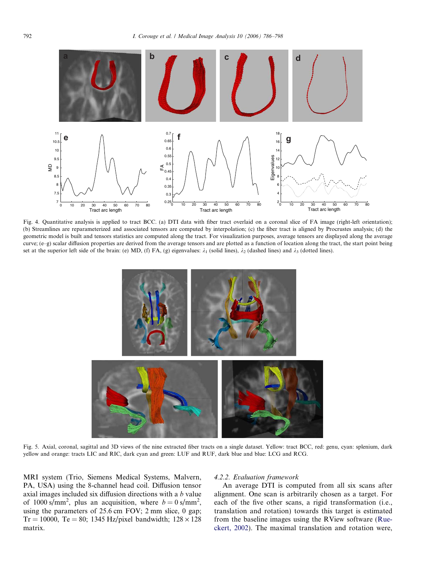<span id="page-6-0"></span>

Fig. 4. Quantitative analysis is applied to tract BCC. (a) DTI data with fiber tract overlaid on a coronal slice of FA image (right-left orientation); (b) Streamlines are reparameterized and associated tensors are computed by interpolation; (c) the fiber tract is aligned by Procrustes analysis; (d) the geometric model is built and tensors statistics are computed along the tract. For visualization purposes, average tensors are displayed along the average curve; (e–g) scalar diffusion properties are derived from the average tensors and are plotted as a function of location along the tract, the start point being set at the superior left side of the brain: (e) MD, (f) FA, (g) eigenvalues:  $\lambda_1$  (solid lines),  $\lambda_2$  (dashed lines) and  $\lambda_3$  (dotted lines).



Fig. 5. Axial, coronal, sagittal and 3D views of the nine extracted fiber tracts on a single dataset. Yellow: tract BCC, red: genu, cyan: splenium, dark yellow and orange: tracts LIC and RIC, dark cyan and green: LUF and RUF, dark blue and blue: LCG and RCG.

MRI system (Trio, Siemens Medical Systems, Malvern, PA, USA) using the 8-channel head coil. Diffusion tensor axial images included six diffusion directions with a b value of 1000 s/mm<sup>2</sup>, plus an acquisition, where  $b = 0$  s/mm<sup>2</sup>, using the parameters of 25.6 cm FOV; 2 mm slice, 0 gap; Tr = 10000, Te = 80; 1345 Hz/pixel bandwidth;  $128 \times 128$ matrix.

## 4.2.2. Evaluation framework

An average DTI is computed from all six scans after alignment. One scan is arbitrarily chosen as a target. For each of the five other scans, a rigid transformation (i.e., translation and rotation) towards this target is estimated from the baseline images using the RView software ([Rue](#page-12-0)[ckert, 2002\)](#page-12-0). The maximal translation and rotation were,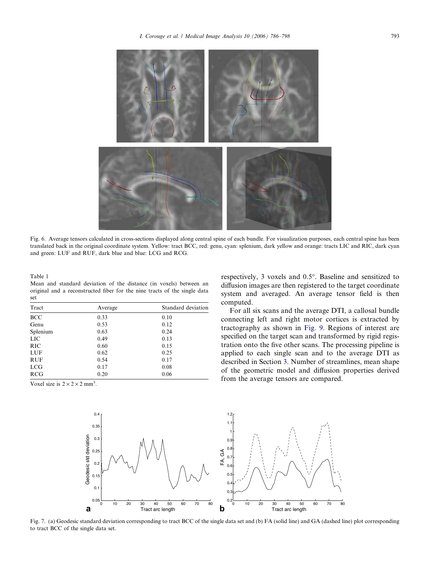<span id="page-7-0"></span>

Fig. 6. Average tensors calculated in cross-sections displayed along central spine of each bundle. For visualization purposes, each central spine has been translated back in the original coordinate system. Yellow: tract BCC, red: genu, cyan: splenium, dark yellow and orange: tracts LIC and RIC, dark cyan and green: LUF and RUF, dark blue and blue: LCG and RCG.

Table 1 Mean and standard deviation of the distance (in voxels) between an original and a reconstructed fiber for the nine tracts of the single data set

| Tract      | Average | Standard deviation |
|------------|---------|--------------------|
| <b>BCC</b> | 0.33    | 0.10               |
| Genu       | 0.53    | 0.12               |
| Splenium   | 0.63    | 0.24               |
| <b>LIC</b> | 0.49    | 0.13               |
| <b>RIC</b> | 0.60    | 0.15               |
| <b>LUF</b> | 0.62    | 0.25               |
| <b>RUF</b> | 0.54    | 0.17               |
| <b>LCG</b> | 0.17    | 0.08               |
| <b>RCG</b> | 0.20    | 0.06               |

Voxel size is  $2 \times 2 \times 2$  mm<sup>3</sup>.

respectively, 3 voxels and 0.5°. Baseline and sensitized to diffusion images are then registered to the target coordinate system and averaged. An average tensor field is then computed.

For all six scans and the average DTI, a callosal bundle connecting left and right motor cortices is extracted by tractography as shown in [Fig. 9.](#page-8-0) Regions of interest are specified on the target scan and transformed by rigid registration onto the five other scans. The processing pipeline is applied to each single scan and to the average DTI as described in Section [3](#page-3-0). Number of streamlines, mean shape of the geometric model and diffusion properties derived from the average tensors are compared.



Fig. 7. (a) Geodesic standard deviation corresponding to tract BCC of the single data set and (b) FA (solid line) and GA (dashed line) plot corresponding to tract BCC of the single data set.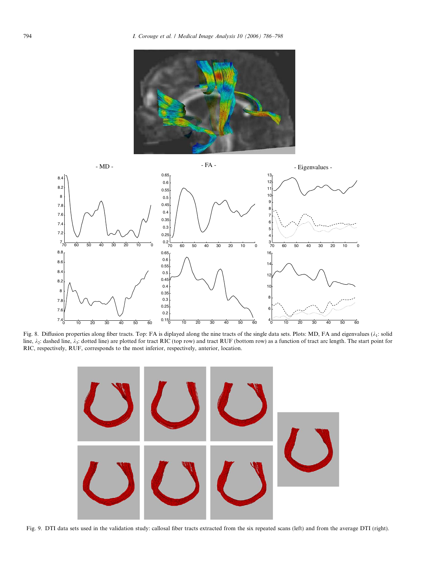<span id="page-8-0"></span>



Fig. 8. Diffusion properties along fiber tracts. Top: FA is diplayed along the nine tracts of the single data sets. Plots: MD, FA and eigenvalues ( $\lambda_1$ : solid line,  $\lambda_2$ : dashed line,  $\lambda_3$ : dotted line) are plotted for tract RIC (top row) and tract RUF (bottom row) as a function of tract arc length. The start point for RIC, respectively, RUF, corresponds to the most inferior, respectively, anterior, location.



Fig. 9. DTI data sets used in the validation study: callosal fiber tracts extracted from the six repeated scans (left) and from the average DTI (right).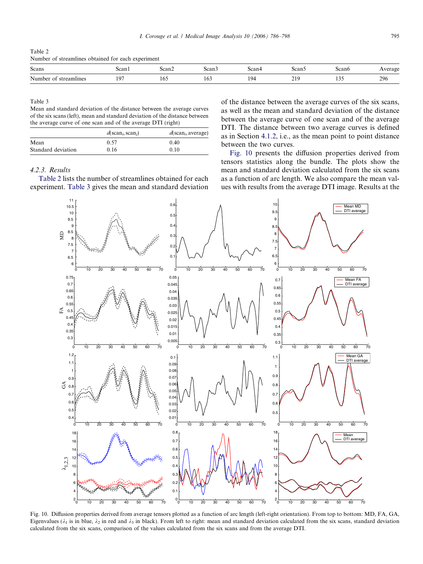Table 2 Number of streamlines obtained for each experiment

| Scans                     | Scan.           | scan∠ | $\alpha$<br>эсанэ | $\frac{1}{2}$ can $\frac{1}{2}$ | Scan: | scant      | erage |
|---------------------------|-----------------|-------|-------------------|---------------------------------|-------|------------|-------|
| Num<br>streamlines<br>nt. | 10 <sup>7</sup> | 165   | 163               | $\sim$<br>$\mathbf{u}$<br>. .   | --    | $\sim$<br> | 296   |

#### Table 3

Mean and standard deviation of the distance between the average curves of the six scans (left), mean and standard deviation of the distance between the average curve of one scan and of the average DTI (right)

|                    | $d(\text{scan}_i, \text{scan}_i)$ | $d$ (scan <sub>i</sub> , average) |
|--------------------|-----------------------------------|-----------------------------------|
| Mean               | 0.57                              | 0.40                              |
| Standard deviation | 0.16                              | 0.10                              |

# 4.2.3. Results

Table 2 lists the number of streamlines obtained for each experiment. Table 3 gives the mean and standard deviation of the distance between the average curves of the six scans, as well as the mean and standard deviation of the distance between the average curve of one scan and of the average DTI. The distance between two average curves is defined as in Section [4.1.2,](#page-5-0) i.e., as the mean point to point distance between the two curves.

Fig. 10 presents the diffusion properties derived from tensors statistics along the bundle. The plots show the mean and standard deviation calculated from the six scans as a function of arc length. We also compare the mean values with results from the average DTI image. Results at the



Fig. 10. Diffusion properties derived from average tensors plotted as a function of arc length (left-right orientation). From top to bottom: MD, FA, GA, Eigenvalues ( $\lambda_1$  is in blue,  $\lambda_2$  in red and  $\lambda_3$  in black). From left to right: mean and standard deviation calculated from the six scans, standard deviation calculated from the six scans, comparison of the values calculated from the six scans and from the average DTI.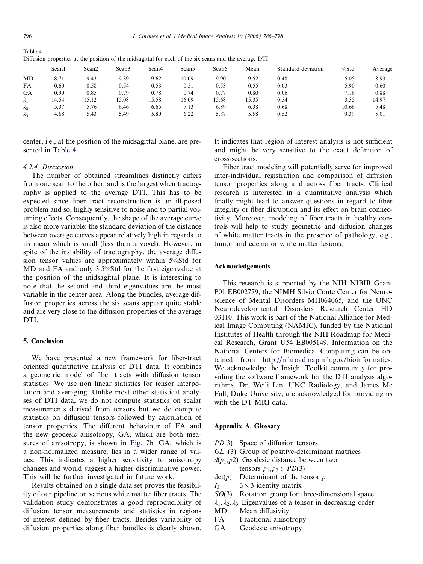| ۰ |             | ×           |
|---|-------------|-------------|
|   | I<br>٠<br>v | ×<br>٦<br>٠ |

Table 4

|               | Scan1 | Scan2 | Scan <sub>3</sub> | Scan4 | Scan <sub>5</sub> | Scan <sub>6</sub> | Mean  | Standard deviation | $%$ Std | Average |
|---------------|-------|-------|-------------------|-------|-------------------|-------------------|-------|--------------------|---------|---------|
| MD            | 8.71  | 9.43  | 9.39              | 9.62  | 10.09             | 9.90              | 9.52  | 0.48               | 5.05    | 8.93    |
| FA            | 0.60  | 0.58  | 0.54              | 0.53  | 0.51              | 0.53              | 0.55  | 0.03               | 5.90    | 0.60    |
| GA            | 0.90  | 0.85  | 0.79              | 0.78  | 0.74              | 0.77              | 0.80  | 0.06               | 7.16    | 0.88    |
| $\lambda_1$   | 14.54 | 15.12 | 15.08             | 15.58 | 16.09             | 15.68             | 15.35 | 0.54               | 3.55    | 14.97   |
| $\lambda$ 2   | 5.37  | 5.76  | 6.46              | 6.65  | 7.13              | 6.89              | 6.38  | 0.68               | 10.66   | 5.48    |
| $\mathcal{L}$ | 4.68  | 5.43  | 5.49              | 5.80  | 6.22              | 5.87              | 5.58  | 0.52               | 9.39    | 5.01    |

Diffusion properties at the position of the midsagittal for each of the six scans and the average DTI

center, i.e., at the position of the midsagittal plane, are presented in Table 4.

## 4.2.4. Discussion

The number of obtained streamlines distinctly differs from one scan to the other, and is the largest when tractography is applied to the average DTI. This has to be expected since fiber tract reconstruction is an ill-posed problem and so, highly sensitive to noise and to partial voluming effects. Consequently, the shape of the average curve is also more variable: the standard deviation of the distance between average curves appear relatively high in regards to its mean which is small (less than a voxel). However, in spite of the instability of tractography, the average diffusion tensor values are approximately within 5%Std for MD and FA and only 3.5%Std for the first eigenvalue at the position of the midsagittal plane. It is interesting to note that the second and third eigenvalues are the most variable in the center area. Along the bundles, average diffusion properties across the six scans appear quite stable and are very close to the diffusion properties of the average DTI.

# 5. Conclusion

We have presented a new framework for fiber-tract oriented quantitative analysis of DTI data. It combines a geometric model of fiber tracts with diffusion tensor statistics. We use non linear statistics for tensor interpolation and averaging. Unlike most other statistical analyses of DTI data, we do not compute statistics on scalar measurements derived from tensors but we do compute statistics on diffusion tensors followed by calculation of tensor properties. The different behaviour of FA and the new geodesic anisotropy, GA, which are both measures of anisotropy, is shown in [Fig. 7](#page-7-0)b. GA, which is a non-normalized measure, lies in a wider range of values. This indicates a higher sensitivity to anisotropy changes and would suggest a higher discriminative power. This will be further investigated in future work.

Results obtained on a single data set proves the feasibility of our pipeline on various white matter fiber tracts. The validation study demonstrates a good reproducibility of diffusion tensor measurements and statistics in regions of interest defined by fiber tracts. Besides variability of diffusion properties along fiber bundles is clearly shown. It indicates that region of interest analysis is not sufficient and might be very sensitive to the exact definition of cross-sections.

Fiber tract modeling will potentially serve for improved inter-individual registration and comparison of diffusion tensor properties along and across fiber tracts. Clinical research is interested in a quantitative analysis which finally might lead to answer questions in regard to fiber integrity or fiber disruption and its effect on brain connectivity. Moreover, modeling of fiber tracts in healthy controls will help to study geometric and diffusion changes of white matter tracts in the presence of pathology, e.g., tumor and edema or white matter lesions.

## Acknowledgements

This research is supported by the NIH NIBIB Grant P01 EB002779, the NIMH Silvio Conte Center for Neuroscience of Mental Disorders MH064065, and the UNC Neurodevelopmental Disorders Research Center HD 03110. This work is part of the National Alliance for Medical Image Computing (NAMIC), funded by the National Institutes of Health through the NIH Roadmap for Medical Research, Grant U54 EB005149. Information on the National Centers for Biomedical Computing can be obtained from <http://nihroadmap.nih.gov/bioinformatics>. We acknowledge the Insight Toolkit community for providing the software framework for the DTI analysis algorithms. Dr. Weili Lin, UNC Radiology, and James Mc Fall, Duke University, are acknowledged for providing us with the DT MRI data.

## Appendix A. Glossary

- PD(3) Space of diffusion tensors
- $GL^+(3)$  Group of positive-determinant matrices
- $d(p_1, p_2)$  Geodesic distance between two tensors  $p_1, p_2 \in PD(3)$
- $det(p)$  Determinant of the tensor p
- $I_3$  3 × 3 identity matrix
- SO(3) Rotation group for three-dimensional space
- $\lambda_1, \lambda_2, \lambda_3$  Eigenvalues of a tensor in decreasing order
- MD Mean diffusivity
- FA Fractional anisotropy
- GA Geodesic anisotropy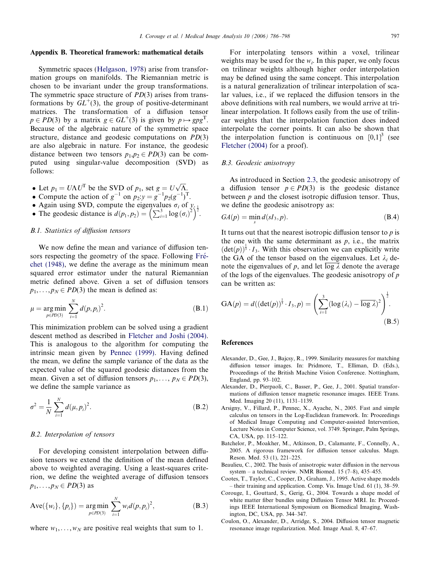#### <span id="page-11-0"></span>Appendix B. Theoretical framework: mathematical details

Symmetric spaces ([Helgason, 1978\)](#page-12-0) arise from transformation groups on manifolds. The Riemannian metric is chosen to be invariant under the group transformations. The symmetric space structure of  $PD(3)$  arises from transformations by  $GL^+(3)$ , the group of positive-determinant matrices. The transformation of a diffusion tensor  $p \in PD(3)$  by a matrix  $g \in GL^+(3)$  is given by  $p \mapsto gpg^T$ . Because of the algebraic nature of the symmetric space structure, distance and geodesic computations on PD(3) are also algebraic in nature. For instance, the geodesic distance between two tensors  $p_1, p_2 \in PD(3)$  can be computed using singular-value decomposition (SVD) as follows:

- Let  $p_1 = U \Lambda U^T$  be the SVD of  $p_1$ , set  $g = U \sqrt{\Lambda}$ .
- Compute the action of  $g^{-1}$  on  $p_2: y = g^{-1}p_2(g^{-1})^T$ .
- Again using SVD, compute the eigenvalues  $\sigma_i$  of  $y_i$ ,  $\text{P}_i$  The geodesic distance is  $d(p_1, p_2) = \left(\sum_{i=1}^3 \log(\sigma_i)^2\right)^{\frac{1}{2}}$ .
- 

## B.1. Statistics of diffusion tensors

We now define the mean and variance of diffusion tensors respecting the geometry of the space. Following Fré[chet \(1948\),](#page-12-0) we define the average as the minimum mean squared error estimator under the natural Riemannian metric defined above. Given a set of diffusion tensors  $p_1, \ldots, p_N \in PD(3)$  the mean is defined as:

$$
\mu = \underset{p \in PD(3)}{\arg \min} \sum_{i=1}^{N} d(p, p_i)^2.
$$
 (B.1)

This minimization problem can be solved using a gradient descent method as described in [Fletcher and Joshi \(2004\).](#page-12-0) This is analogous to the algorithm for computing the intrinsic mean given by [Pennec \(1999\).](#page-12-0) Having defined the mean, we define the sample variance of the data as the expected value of the squared geodesic distances from the mean. Given a set of diffusion tensors  $p_1, \ldots, p_N \in PD(3)$ , we define the sample variance as

$$
\sigma^2 = \frac{1}{N} \sum_{i=1}^{N} d(\mu, p_i)^2.
$$
 (B.2)

#### B.2. Interpolation of tensors

For developing consistent interpolation between diffusion tensors we extend the definition of the mean defined above to weighted averaging. Using a least-squares criterion, we define the weighted average of diffusion tensors  $p_1,\ldots,p_N \in PD(3)$  as

$$
Ave(\{w_i\}, \{p_i\}) = \underset{p \in PD(3)}{\text{arg min}} \sum_{i=1}^{N} w_i d(p, p_i)^2, \tag{B.3}
$$

where  $w_1, \ldots, w_N$  are positive real weights that sum to 1.

For interpolating tensors within a voxel, trilinear weights may be used for the  $w_i$ . In this paper, we only focus on trilinear weights although higher order interpolation may be defined using the same concept. This interpolation is a natural generalization of trilinear interpolation of scalar values, i.e., if we replaced the diffusion tensors in the above definitions with real numbers, we would arrive at trilinear interpolation. It follows easily from the use of trilinear weights that the interpolation function does indeed interpolate the corner points. It can also be shown that the interpolation function is continuous on  $[0,1]^3$  (see [Fletcher \(2004\)](#page-12-0) for a proof).

#### B.3. Geodesic anisotropy

As introduced in Section [2.3,](#page-2-0) the geodesic anisotropy of a diffusion tensor  $p \in PD(3)$  is the geodesic distance between  $p$  and the closest isotropic diffusion tensor. Thus, we define the geodesic anisotropy as:

$$
GA(p) = \min_{s} d(sI_3, p). \tag{B.4}
$$

It turns out that the nearest isotropic diffusion tensor to  $p$  is the one with the same determinant as  $p$ , i.e., the matrix  $(\det(p))^{\frac{1}{3}} \cdot I_3$ . With this observation we can explicitly write the GA of the tensor based on the eigenvalues. Let  $\lambda_i$  denote the eigenvalues of p, and let  $\overline{\log \lambda}$  denote the average of the logs of the eigenvalues. The geodesic anisotropy of  $p$ can be written as:

$$
GA(p) = d((\det(p))^{\frac{1}{3}} \cdot I_3, p) = \left(\sum_{i=1}^{3} (\log(\lambda_i) - \overline{\log \lambda})^2\right)^{\frac{1}{2}}.\tag{B.5}
$$

### References

- Alexander, D., Gee, J., Bajcsy, R., 1999. Similarity measures for matching diffusion tensor images. In: Pridmore, T., Elliman, D. (Eds.), Proceedings of the British Machine Vision Conference. Nottingham, England, pp. 93–102.
- Alexander, D., Pierpaoli, C., Basser, P., Gee, J., 2001. Spatial transformations of diffusion tensor magnetic resonance images. IEEE Trans. Med. Imaging 20 (11), 1131–1139.
- Arsigny, V., Fillard, P., Pennec, X., Ayache, N., 2005. Fast and simple calculus on tensors in the Log-Euclidean framework. In: Proceedings of Medical Image Computing and Computer-assisted Intervention, Lecture Notes in Computer Science, vol. 3749. Springer, Palm Springs, CA, USA, pp. 115–122.
- Batchelor, P., Moakher, M., Atkinson, D., Calamante, F., Connelly, A., 2005. A rigorous framework for diffusion tensor calculus. Magn. Reson. Med. 53 (1), 221–225.
- Beaulieu, C., 2002. The basis of anisotropic water diffusion in the nervous system – a technical review. NMR Biomed. 15 (7–8), 435–455.
- Cootes, T., Taylor, C., Cooper, D., Graham, J., 1995. Active shape models – their training and application. Comp. Vis. Image Und. 61 (1), 38–59.
- Corouge, I., Gouttard, S., Gerig, G., 2004. Towards a shape model of white matter fiber bundles using Diffusion Tensor MRI. In: Proceedings IEEE International Symposium on Biomedical Imaging, Washington, DC, USA, pp. 344–347.
- Coulon, O., Alexander, D., Arridge, S., 2004. Diffusion tensor magnetic resonance image regularization. Med. Image Anal. 8, 47–67.